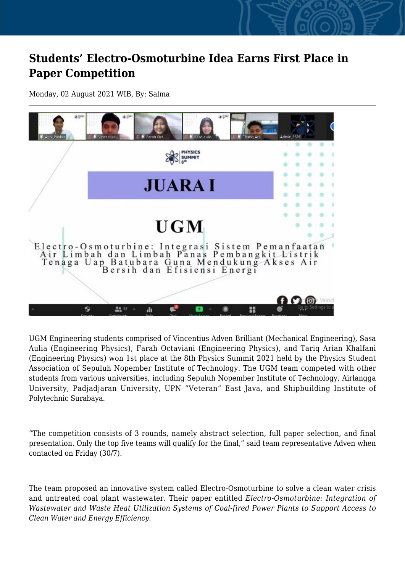## **Students' Electro-Osmoturbine Idea Earns First Place in Paper Competition**

Monday, 02 August 2021 WIB, By: Salma



UGM Engineering students comprised of Vincentius Adven Brilliant (Mechanical Engineering), Sasa Aulia (Engineering Physics), Farah Octaviani (Engineering Physics), and Tariq Arian Khalfani (Engineering Physics) won 1st place at the 8th Physics Summit 2021 held by the Physics Student Association of Sepuluh Nopember Institute of Technology. The UGM team competed with other students from various universities, including Sepuluh Nopember Institute of Technology, Airlangga University, Padjadjaran University, UPN "Veteran" East Java, and Shipbuilding Institute of Polytechnic Surabaya.

"The competition consists of 3 rounds, namely abstract selection, full paper selection, and final presentation. Only the top five teams will qualify for the final," said team representative Adven when contacted on Friday (30/7).

The team proposed an innovative system called Electro-Osmoturbine to solve a clean water crisis and untreated coal plant wastewater. Their paper entitled *Electro-Osmoturbine: Integration of Wastewater and Waste Heat Utilization Systems of Coal-fired Power Plants to Support Access to Clean Water and Energy Efficiency*.